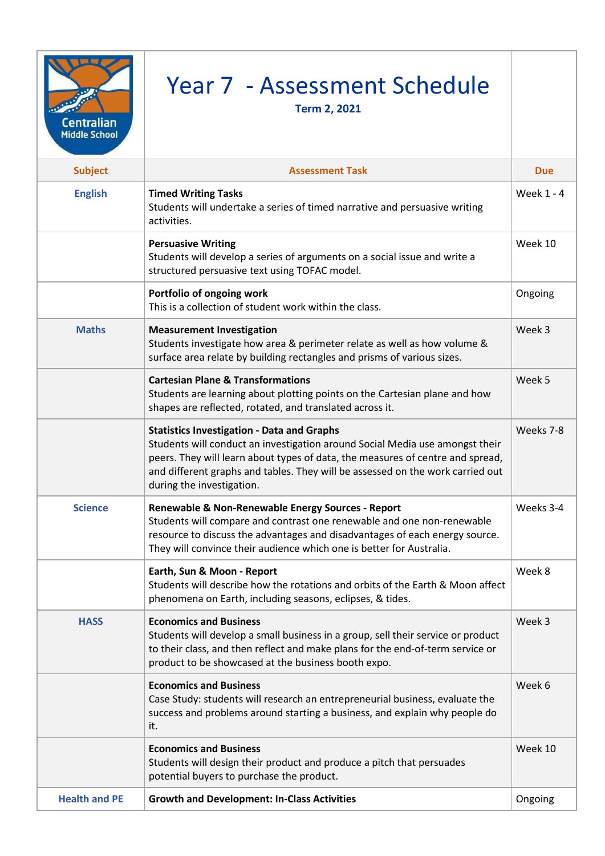| <b>Centralian</b><br><b>Middle School</b> | Year 7 - Assessment Schedule<br><b>Term 2, 2021</b>                                                                                                                                                                                                                                                                                |            |
|-------------------------------------------|------------------------------------------------------------------------------------------------------------------------------------------------------------------------------------------------------------------------------------------------------------------------------------------------------------------------------------|------------|
| <b>Subject</b>                            | <b>Assessment Task</b>                                                                                                                                                                                                                                                                                                             | <b>Due</b> |
| <b>English</b>                            | <b>Timed Writing Tasks</b><br>Students will undertake a series of timed narrative and persuasive writing<br>activities.                                                                                                                                                                                                            | Week 1 - 4 |
|                                           | <b>Persuasive Writing</b><br>Students will develop a series of arguments on a social issue and write a<br>structured persuasive text using TOFAC model.                                                                                                                                                                            | Week 10    |
|                                           | Portfolio of ongoing work<br>This is a collection of student work within the class.                                                                                                                                                                                                                                                | Ongoing    |
| <b>Maths</b>                              | <b>Measurement Investigation</b><br>Students investigate how area & perimeter relate as well as how volume &<br>surface area relate by building rectangles and prisms of various sizes.                                                                                                                                            | Week 3     |
|                                           | <b>Cartesian Plane &amp; Transformations</b><br>Students are learning about plotting points on the Cartesian plane and how<br>shapes are reflected, rotated, and translated across it.                                                                                                                                             | Week 5     |
|                                           | <b>Statistics Investigation - Data and Graphs</b><br>Students will conduct an investigation around Social Media use amongst their<br>peers. They will learn about types of data, the measures of centre and spread,<br>and different graphs and tables. They will be assessed on the work carried out<br>during the investigation. | Weeks 7-8  |
| <b>Science</b>                            | Renewable & Non-Renewable Energy Sources - Report<br>Students will compare and contrast one renewable and one non-renewable<br>resource to discuss the advantages and disadvantages of each energy source.<br>They will convince their audience which one is better for Australia.                                                 | Weeks 3-4  |
|                                           | Earth, Sun & Moon - Report<br>Students will describe how the rotations and orbits of the Earth & Moon affect<br>phenomena on Earth, including seasons, eclipses, & tides.                                                                                                                                                          | Week 8     |
| <b>HASS</b>                               | <b>Economics and Business</b><br>Students will develop a small business in a group, sell their service or product<br>to their class, and then reflect and make plans for the end-of-term service or<br>product to be showcased at the business booth expo.                                                                         | Week 3     |
|                                           | <b>Economics and Business</b><br>Case Study: students will research an entrepreneurial business, evaluate the<br>success and problems around starting a business, and explain why people do<br>it.                                                                                                                                 | Week 6     |
|                                           | <b>Economics and Business</b><br>Students will design their product and produce a pitch that persuades<br>potential buyers to purchase the product.                                                                                                                                                                                | Week 10    |
| <b>Health and PE</b>                      | <b>Growth and Development: In-Class Activities</b>                                                                                                                                                                                                                                                                                 | Ongoing    |